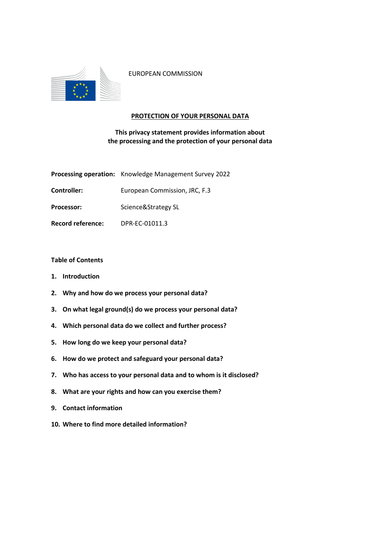

EUROPEAN COMMISSION

## **PROTECTION OF YOUR PERSONAL DATA**

# **This privacy statement provides information about the processing and the protection of your personal data**

|                          | Processing operation: Knowledge Management Survey 2022 |
|--------------------------|--------------------------------------------------------|
| Controller:              | European Commission, JRC, F.3                          |
| <b>Processor:</b>        | Science&Strategy SL                                    |
| <b>Record reference:</b> | DPR-EC-01011.3                                         |

# **Table of Contents**

- **1. Introduction**
- **2. Why and how do we process your personal data?**
- **3. On what legal ground(s) do we process your personal data?**
- **4. Which personal data do we collect and further process?**
- **5. How long do we keep your personal data?**
- **6. How do we protect and safeguard your personal data?**
- **7. Who has access to your personal data and to whom is it disclosed?**
- **8. What are your rights and how can you exercise them?**
- **9. Contact information**
- **10. Where to find more detailed information?**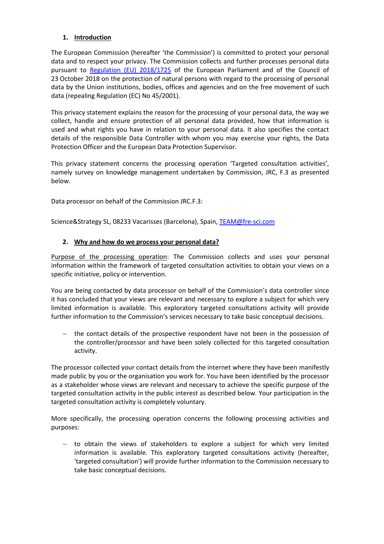# **1. Introduction**

The European Commission (hereafter 'the Commission') is committed to protect your personal data and to respect your privacy. The Commission collects and further processes personal data pursuant to [Regulation \(EU\) 2018/1725](https://eur-lex.europa.eu/legal-content/EN/TXT/?uri=uriserv:OJ.L_.2018.295.01.0039.01.ENG&toc=OJ:L:2018:295:TOC) of the European Parliament and of the Council of 23 October 2018 on the protection of natural persons with regard to the processing of personal data by the Union institutions, bodies, offices and agencies and on the free movement of such data (repealing Regulation (EC) No 45/2001).

This privacy statement explains the reason for the processing of your personal data, the way we collect, handle and ensure protection of all personal data provided, how that information is used and what rights you have in relation to your personal data. It also specifies the contact details of the responsible Data Controller with whom you may exercise your rights, the Data Protection Officer and the European Data Protection Supervisor.

This privacy statement concerns the processing operation 'Targeted consultation activities', namely survey on knowledge management undertaken by Commission, JRC, F.3 as presented below.

Data processor on behalf of the Commission JRC.F.3:

Science&Strategy SL, 08233 Vacarisses (Barcelona), Spain, [TEAM@fre-sci.com](mailto:TEAM@fre-sci.com)

## **2. Why and how do we process your personal data?**

Purpose of the processing operation: The Commission collects and uses your personal information within the framework of targeted consultation activities to obtain your views on a specific initiative, policy or intervention.

You are being contacted by data processor on behalf of the Commission's data controller since it has concluded that your views are relevant and necessary to explore a subject for which very limited information is available. This exploratory targeted consultations activity will provide further information to the Commission's services necessary to take basic conceptual decisions.

 the contact details of the prospective respondent have not been in the possession of the controller/processor and have been solely collected for this targeted consultation activity.

The processor collected your contact details from the internet where they have been manifestly made public by you or the organisation you work for. You have been identified by the processor as a stakeholder whose views are relevant and necessary to achieve the specific purpose of the targeted consultation activity in the public interest as described below*.* Your participation in the targeted consultation activity is completely voluntary.

More specifically, the processing operation concerns the following processing activities and purposes:

 $-$  to obtain the views of stakeholders to explore a subject for which very limited information is available. This exploratory targeted consultations activity (hereafter, 'targeted consultation') will provide further information to the Commission necessary to take basic conceptual decisions.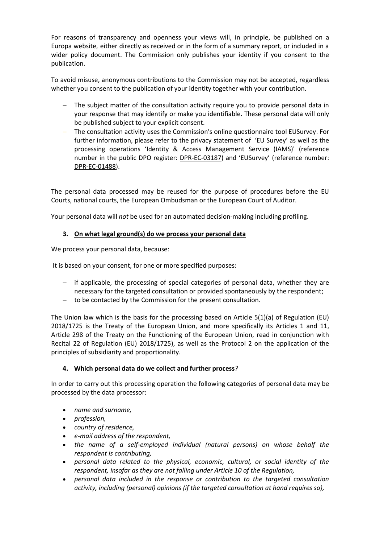For reasons of transparency and openness your views will, in principle, be published on a Europa website, either directly as received or in the form of a summary report, or included in a wider policy document. The Commission only publishes your identity if you consent to the publication.

To avoid misuse, anonymous contributions to the Commission may not be accepted, regardless whether you consent to the publication of your identity together with your contribution.

- The subject matter of the consultation activity require you to provide personal data in your response that may identify or make you identifiable. These personal data will only be published subject to your explicit consent.
- The consultation activity uses the Commission's online questionnaire tool EUSurvey. For further information, please refer to the privacy statement of 'EU Survey' as well as the processing operations 'Identity & Access Management Service (IAMS)' (reference number in the public DPO register: [DPR-EC-03187](https://ec.europa.eu/dpo-register/detail/DPR-EC-03187)) and 'EUSurvey' (reference number: [DPR-EC-01488\)](https://ec.europa.eu/dpo-register/detail/DPR-EC-01488).

The personal data processed may be reused for the purpose of procedures before the EU Courts, national courts, the European Ombudsman or the European Court of Auditor.

Your personal data will *not* be used for an automated decision-making including profiling.

## **3. On what legal ground(s) do we process your personal data**

We process your personal data, because:

It is based on your consent, for one or more specified purposes:

- $-$  if applicable, the processing of special categories of personal data, whether they are necessary for the targeted consultation or provided spontaneously by the respondent;
- to be contacted by the Commission for the present consultation.

The Union law which is the basis for the processing based on Article 5(1)(a) of Regulation (EU) 2018/1725 is the Treaty of the European Union, and more specifically its Articles 1 and 11, Article 298 of the Treaty on the Functioning of the European Union, read in conjunction with Recital 22 of Regulation (EU) 2018/1725), as well as the Protocol 2 on the application of the principles of subsidiarity and proportionality.

#### **4. Which personal data do we collect and further process***?*

In order to carry out this processing operation the following categories of personal data may be processed by the data processor:

- *name and surname,*
- *profession,*
- *country of residence,*
- *e-mail address of the respondent,*
- *the name of a self-employed individual (natural persons) on whose behalf the respondent is contributing,*
- *personal data related to the physical, economic, cultural, or social identity of the respondent, insofar as they are not falling under Article 10 of the Regulation,*
- *personal data included in the response or contribution to the targeted consultation activity, including (personal) opinions (if the targeted consultation at hand requires so),*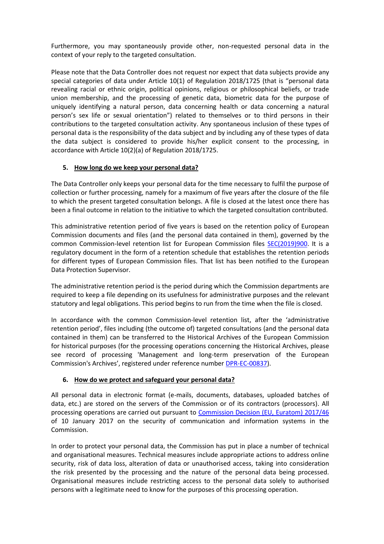Furthermore, you may spontaneously provide other, non-requested personal data in the context of your reply to the targeted consultation.

Please note that the Data Controller does not request nor expect that data subjects provide any special categories of data under Article 10(1) of Regulation 2018/1725 (that is "personal data revealing racial or ethnic origin, political opinions, religious or philosophical beliefs, or trade union membership, and the processing of genetic data, biometric data for the purpose of uniquely identifying a natural person, data concerning health or data concerning a natural person's sex life or sexual orientation") related to themselves or to third persons in their contributions to the targeted consultation activity. Any spontaneous inclusion of these types of personal data is the responsibility of the data subject and by including any of these types of data the data subject is considered to provide his/her explicit consent to the processing, in accordance with Article 10(2)(a) of Regulation 2018/1725.

## **5. How long do we keep your personal data?**

The Data Controller only keeps your personal data for the time necessary to fulfil the purpose of collection or further processing, namely for a maximum of five years after the closure of the file to which the present targeted consultation belongs. A file is closed at the latest once there has been a final outcome in relation to the initiative to which the targeted consultation contributed.

This administrative retention period of five years is based on the retention policy of European Commission documents and files (and the personal data contained in them), governed by the common Commission-level retention list for European Commission files [SEC\(2019\)900.](http://ec.europa.eu/transparency/regdoc/index.cfm?fuseaction=list&n=10&adv=0&coteId=2&year=2019&number=900&dateFrom=&dateTo=&serviceId=&documentType=&title=&titleLanguage=&titleSearch=EXACT&sortBy=NUMBER&sortOrder=DESC) It is a regulatory document in the form of a retention schedule that establishes the retention periods for different types of European Commission files. That list has been notified to the European Data Protection Supervisor.

The administrative retention period is the period during which the Commission departments are required to keep a file depending on its usefulness for administrative purposes and the relevant statutory and legal obligations. This period begins to run from the time when the file is closed.

In accordance with the common Commission-level retention list, after the 'administrative retention period', files including (the outcome of) targeted consultations (and the personal data contained in them) can be transferred to the Historical Archives of the European Commission for historical purposes (for the processing operations concerning the Historical Archives, please see record of processing 'Management and long-term preservation of the European Commission's Archives', registered under reference number [DPR-EC-00837\)](https://ec.europa.eu/dpo-register/detail/DPR-EC-00837).

#### **6. How do we protect and safeguard your personal data?**

All personal data in electronic format (e-mails, documents, databases, uploaded batches of data, etc.) are stored on the servers of the Commission or of its contractors (processors). All processing operations are carried out pursuant to [Commission Decision \(EU, Euratom\) 2017/46](https://eur-lex.europa.eu/legal-content/EN/TXT/?qid=1548093747090&uri=CELEX:32017D0046) of 10 January 2017 on the security of communication and information systems in the Commission.

In order to protect your personal data, the Commission has put in place a number of technical and organisational measures. Technical measures include appropriate actions to address online security, risk of data loss, alteration of data or unauthorised access, taking into consideration the risk presented by the processing and the nature of the personal data being processed. Organisational measures include restricting access to the personal data solely to authorised persons with a legitimate need to know for the purposes of this processing operation.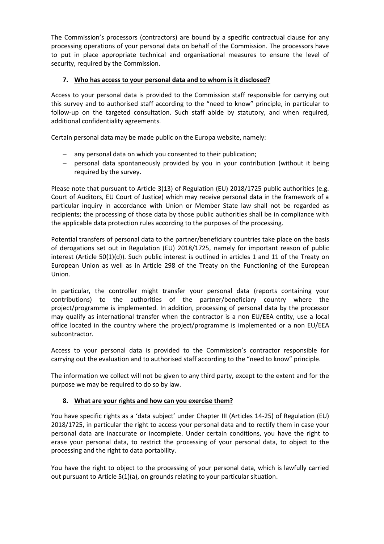The Commission's processors (contractors) are bound by a specific contractual clause for any processing operations of your personal data on behalf of the Commission. The processors have to put in place appropriate technical and organisational measures to ensure the level of security, required by the Commission.

# **7. Who has access to your personal data and to whom is it disclosed?**

Access to your personal data is provided to the Commission staff responsible for carrying out this survey and to authorised staff according to the "need to know" principle, in particular to follow-up on the targeted consultation. Such staff abide by statutory, and when required, additional confidentiality agreements.

Certain personal data may be made public on the Europa website, namely:

- any personal data on which you consented to their publication;
- personal data spontaneously provided by you in your contribution (without it being required by the survey.

Please note that pursuant to Article 3(13) of Regulation (EU) 2018/1725 public authorities (e.g. Court of Auditors, EU Court of Justice) which may receive personal data in the framework of a particular inquiry in accordance with Union or Member State law shall not be regarded as recipients; the processing of those data by those public authorities shall be in compliance with the applicable data protection rules according to the purposes of the processing.

Potential transfers of personal data to the partner/beneficiary countries take place on the basis of derogations set out in Regulation (EU) 2018/1725, namely for important reason of public interest (Article 50(1)(d)). Such public interest is outlined in articles 1 and 11 of the Treaty on European Union as well as in Article 298 of the Treaty on the Functioning of the European Union.

In particular, the controller might transfer your personal data (reports containing your contributions) to the authorities of the partner/beneficiary country where the project/programme is implemented. In addition, processing of personal data by the processor may qualify as international transfer when the contractor is a non EU/EEA entity, use a local office located in the country where the project/programme is implemented or a non EU/EEA subcontractor.

Access to your personal data is provided to the Commission's contractor responsible for carrying out the evaluation and to authorised staff according to the "need to know" principle.

The information we collect will not be given to any third party, except to the extent and for the purpose we may be required to do so by law.

# **8. What are your rights and how can you exercise them?**

You have specific rights as a 'data subject' under Chapter III (Articles 14-25) of Regulation (EU) 2018/1725, in particular the right to access your personal data and to rectify them in case your personal data are inaccurate or incomplete. Under certain conditions, you have the right to erase your personal data, to restrict the processing of your personal data, to object to the processing and the right to data portability.

You have the right to object to the processing of your personal data, which is lawfully carried out pursuant to Article 5(1)(a), on grounds relating to your particular situation.